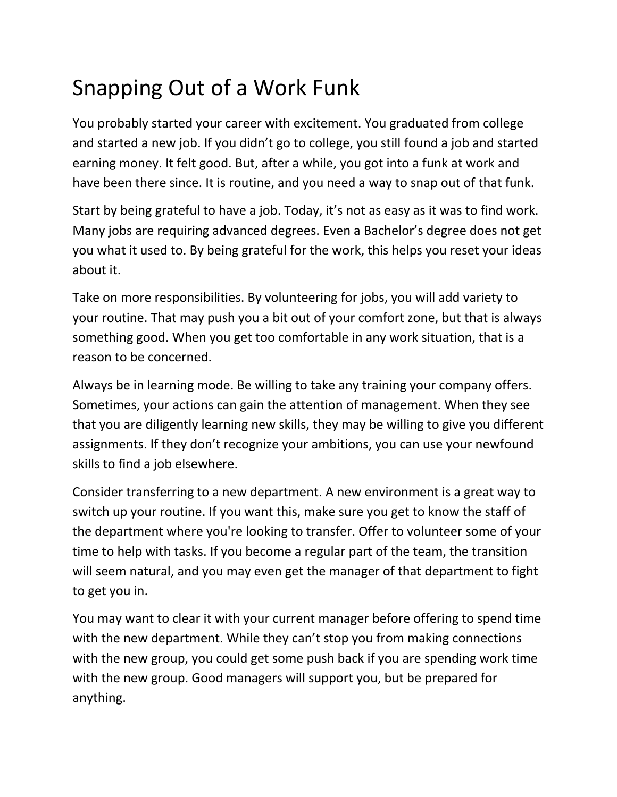## Snapping Out of a Work Funk

You probably started your career with excitement. You graduated from college and started a new job. If you didn't go to college, you still found a job and started earning money. It felt good. But, after a while, you got into a funk at work and have been there since. It is routine, and you need a way to snap out of that funk.

Start by being grateful to have a job. Today, it's not as easy as it was to find work. Many jobs are requiring advanced degrees. Even a Bachelor's degree does not get you what it used to. By being grateful for the work, this helps you reset your ideas about it.

Take on more responsibilities. By volunteering for jobs, you will add variety to your routine. That may push you a bit out of your comfort zone, but that is always something good. When you get too comfortable in any work situation, that is a reason to be concerned.

Always be in learning mode. Be willing to take any training your company offers. Sometimes, your actions can gain the attention of management. When they see that you are diligently learning new skills, they may be willing to give you different assignments. If they don't recognize your ambitions, you can use your newfound skills to find a job elsewhere.

Consider transferring to a new department. A new environment is a great way to switch up your routine. If you want this, make sure you get to know the staff of the department where you're looking to transfer. Offer to volunteer some of your time to help with tasks. If you become a regular part of the team, the transition will seem natural, and you may even get the manager of that department to fight to get you in.

You may want to clear it with your current manager before offering to spend time with the new department. While they can't stop you from making connections with the new group, you could get some push back if you are spending work time with the new group. Good managers will support you, but be prepared for anything.